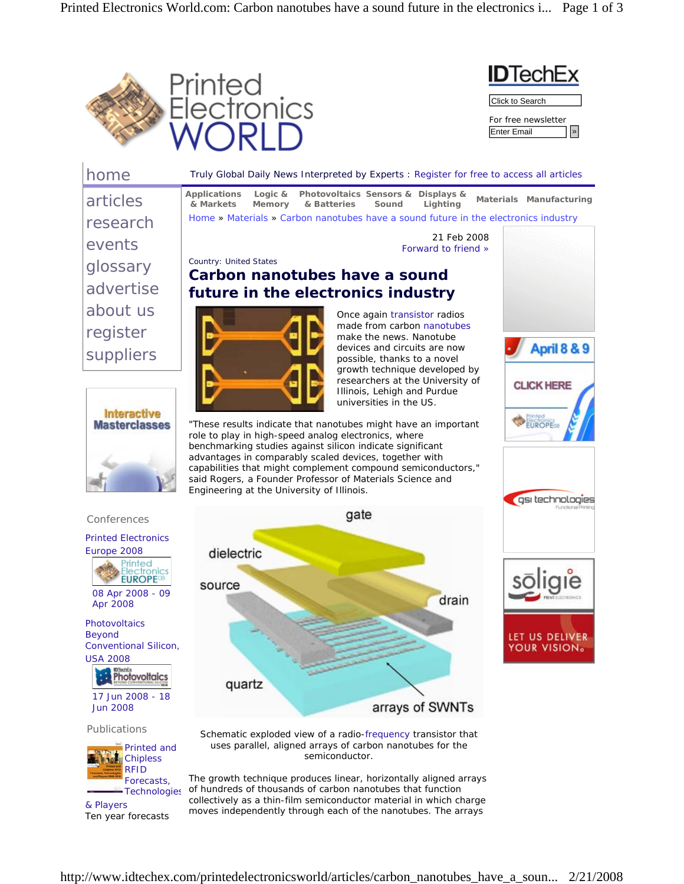



| home                                                                                                                             | Truly Global Daily News Interpreted by Experts : Register for free to access all articles                                                                                                                                                                                                                                                                                                                                                    |
|----------------------------------------------------------------------------------------------------------------------------------|----------------------------------------------------------------------------------------------------------------------------------------------------------------------------------------------------------------------------------------------------------------------------------------------------------------------------------------------------------------------------------------------------------------------------------------------|
| articles                                                                                                                         | <b>Applications</b><br>Logic $&$<br>Photovoltaics Sensors & Displays &<br>Materials Manufacturing<br>& Markets<br>Memory<br>& Batteries<br>Sound<br>Lighting                                                                                                                                                                                                                                                                                 |
| research                                                                                                                         | Home » Materials » Carbon nanotubes have a sound future in the electronics industry                                                                                                                                                                                                                                                                                                                                                          |
| events                                                                                                                           | 21 Feb 2008<br>Forward to friend »                                                                                                                                                                                                                                                                                                                                                                                                           |
| glossary                                                                                                                         | <b>Country: United States</b><br>Carbon nanotubes have a sound                                                                                                                                                                                                                                                                                                                                                                               |
| advertise                                                                                                                        | future in the electronics industry                                                                                                                                                                                                                                                                                                                                                                                                           |
| about us                                                                                                                         | Once again transistor radios                                                                                                                                                                                                                                                                                                                                                                                                                 |
| register                                                                                                                         | made from carbon nanotubes<br>make the news. Nanotube                                                                                                                                                                                                                                                                                                                                                                                        |
| suppliers                                                                                                                        | April 8 & 9<br>devices and circuits are now<br>possible, thanks to a novel                                                                                                                                                                                                                                                                                                                                                                   |
|                                                                                                                                  | growth technique developed by<br>researchers at the University of<br><b>CLICK HERE</b><br>Illinois, Lehigh and Purdue<br>universities in the US.                                                                                                                                                                                                                                                                                             |
| <b>Interactive</b><br><b>Masterclasses</b>                                                                                       | "These results indicate that nanotubes might have an important<br>role to play in high-speed analog electronics, where<br>benchmarking studies against silicon indicate significant<br>advantages in comparably scaled devices, together with<br>capabilities that might complement compound semiconductors,"<br>said Rogers, a Founder Professor of Materials Science and<br>Engineering at the University of Illinois.<br>gsi technologies |
| Conferences                                                                                                                      | gate                                                                                                                                                                                                                                                                                                                                                                                                                                         |
| <b>Printed Electronics</b><br>Europe 2008<br>Printed<br>Electronics<br><b>EUROPE<sup>®</sup></b><br>08 Apr 2008 - 09<br>Apr 2008 | dielectric<br>source<br>drain                                                                                                                                                                                                                                                                                                                                                                                                                |
| Photovoltaics<br><b>Beyond</b><br>Conventional Silicon,<br><b>USA 2008</b><br><b>DTechEx</b><br><b>Photovoltaics</b>             | LET US DELIVER<br>YOUR VISION。<br>quartz                                                                                                                                                                                                                                                                                                                                                                                                     |
| 17 Jun 2008 - 18<br><b>Jun 2008</b>                                                                                              | arrays of SWNTs                                                                                                                                                                                                                                                                                                                                                                                                                              |
| Publications<br>Printed and<br><b>Chipless</b><br><b>RFID</b><br>Forecasts,                                                      | Schematic exploded view of a radio-frequency transistor that<br>uses parallel, aligned arrays of carbon nanotubes for the<br>semiconductor.<br>The growth technique produces linear, horizontally aligned arrays                                                                                                                                                                                                                             |

Technologies of hundreds of thousands of carbon nanotubes that function & Players Ten year forecasts collectively as a thin-film semiconductor material in which charge moves independently through each of the nanotubes. The arrays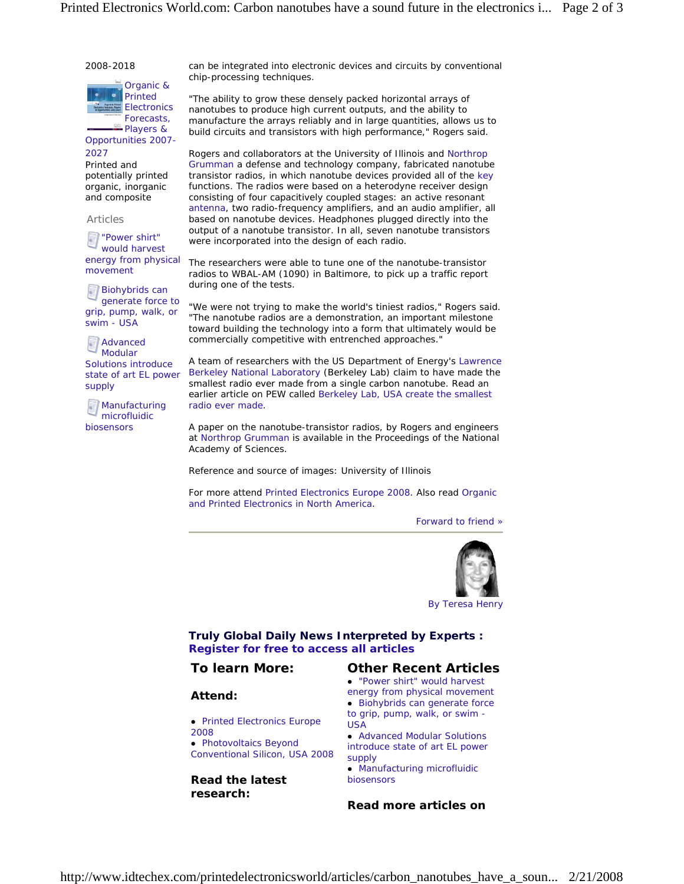#### 2008-2018



Players & Opportunities 2007- 2027

Printed and potentially printed organic, inorganic and composite

Articles

"Power shirt" would harvest energy from physical movement

**Biohybrids can** generate force to grip, pump, walk, or swim - USA

**Advanced** Modular Solutions introduce state of art EL power supply

**Manufacturing** microfluidic biosensors

can be integrated into electronic devices and circuits by conventional chip-processing techniques.

*"The ability to grow these densely packed horizontal arrays of nanotubes to produce high current outputs, and the ability to manufacture the arrays reliably and in large quantities, allows us to build circuits and transistors with high performance,"* Rogers said.

Rogers and collaborators at the University of Illinois and Northrop Grumman a defense and technology company, fabricated nanotube transistor radios, in which nanotube devices provided all of the key functions. The radios were based on a heterodyne receiver design consisting of four capacitively coupled stages: an active resonant antenna, two radio-frequency amplifiers, and an audio amplifier, all based on nanotube devices. Headphones plugged directly into the output of a nanotube transistor. In all, seven nanotube transistors were incorporated into the design of each radio.

The researchers were able to tune one of the nanotube-transistor radios to WBAL-AM (1090) in Baltimore, to pick up a traffic report during one of the tests.

*"We were not trying to make the world's tiniest radios,"* Rogers said. *"The nanotube radios are a demonstration, an important milestone toward building the technology into a form that ultimately would be commercially competitive with entrenched approaches."*

A team of researchers with the US Department of Energy's Lawrence Berkeley National Laboratory (Berkeley Lab) claim to have made the smallest radio ever made from a single carbon nanotube. Read an earlier article on PEW called Berkeley Lab, USA create the smallest radio ever made.

A paper on the nanotube-transistor radios, by Rogers and engineers at Northrop Grumman is available in the Proceedings of the National Academy of Sciences.

Reference and source of images: University of Illinois

For more attend Printed Electronics Europe 2008. Also read Organic and Printed Electronics in North America.

Forward to friend »



By Teresa Henry

# **Truly Global Daily News Interpreted by Experts : Register for free to access all articles**

## **To learn More:**

### **Attend:**

- Printed Electronics Europe 2008
- Photovoltaics Beyond Conventional Silicon, USA 2008

**Read the latest research:** 

### **Other Recent Articles**

• "Power shirt" would harvest energy from physical movement • Biohybrids can generate force to grip, pump, walk, or swim -

USA • Advanced Modular Solutions introduce state of art EL power

supply • Manufacturing microfluidic

biosensors

**Read more articles on**